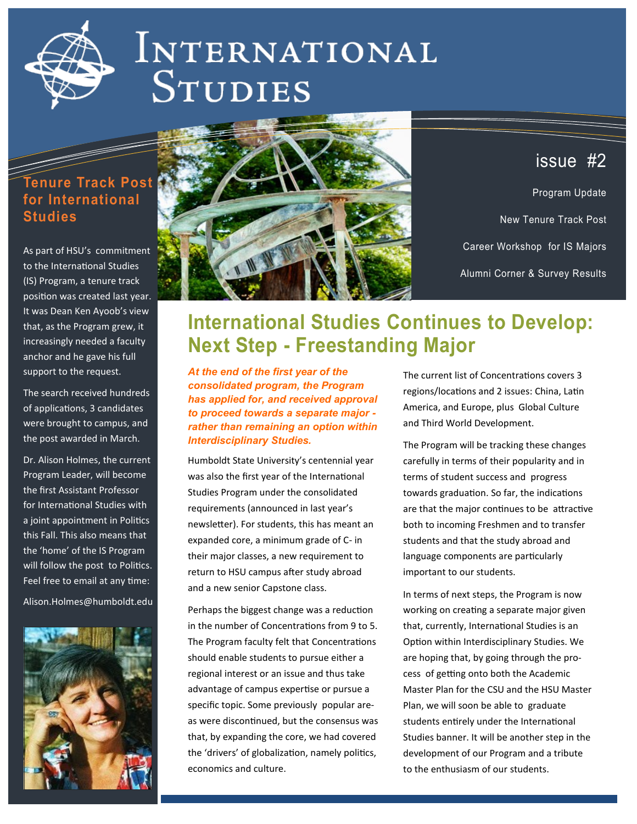

# INTERNATIONAL **STUDIES**

### **Tenure Track Post for International Studies**

As part of HSU's commitment to the International Studies (IS) Program, a tenure track position was created last year. It was Dean Ken Ayoob's view that, as the Program grew, it increasingly needed a faculty anchor and he gave his full support to the request.

The search received hundreds of applications, 3 candidates were brought to campus, and the post awarded in March.

Dr. Alison Holmes, the current Program Leader, will become the first Assistant Professor for International Studies with a joint appointment in Politics this Fall. This also means that the 'home' of the IS Program will follow the post to Politics. Feel free to email at any time:

Alison.Holmes@humboldt.edu





### issue #2

Program Update New Tenure Track Post Career Workshop for IS Majors Alumni Corner & Survey Results

## **International Studies Continues to Develop: Next Step - Freestanding Major**

*At the end of the first year of the consolidated program, the Program has applied for, and received approval to proceed towards a separate major rather than remaining an option within Interdisciplinary Studies.* 

Humboldt State University's centennial year was also the first year of the International Studies Program under the consolidated requirements (announced in last year's newsletter). For students, this has meant an expanded core, a minimum grade of C- in their major classes, a new requirement to return to HSU campus after study abroad and a new senior Capstone class.

Perhaps the biggest change was a reduction in the number of Concentrations from 9 to 5. The Program faculty felt that Concentrations should enable students to pursue either a regional interest or an issue and thus take advantage of campus expertise or pursue a specific topic. Some previously popular areas were discontinued, but the consensus was that, by expanding the core, we had covered the 'drivers' of globalization, namely politics, economics and culture.

The current list of Concentrations covers 3 regions/locations and 2 issues: China, Latin America, and Europe, plus Global Culture and Third World Development.

The Program will be tracking these changes carefully in terms of their popularity and in terms of student success and progress towards graduation. So far, the indications are that the major continues to be attractive both to incoming Freshmen and to transfer students and that the study abroad and language components are particularly important to our students.

In terms of next steps, the Program is now working on creating a separate major given that, currently, International Studies is an Option within Interdisciplinary Studies. We are hoping that, by going through the process of getting onto both the Academic Master Plan for the CSU and the HSU Master Plan, we will soon be able to graduate students entirely under the International Studies banner. It will be another step in the development of our Program and a tribute to the enthusiasm of our students.